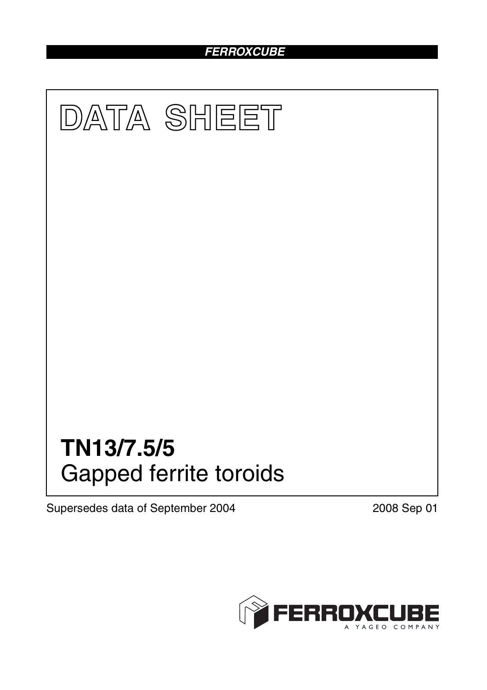# *FERROXCUBE*



Supersedes data of September 2004 2008 Sep 01

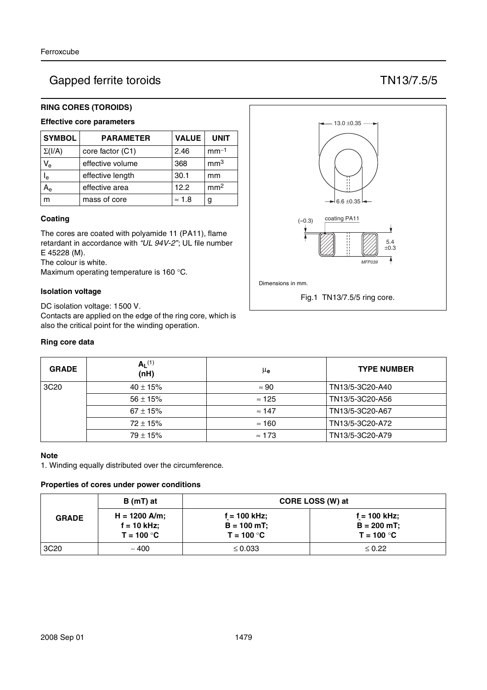# Gapped ferrite toroids TN13/7.5/5

# **RING CORES (TOROIDS)**

# **Effective core parameters**

| <b>SYMBOL</b>           | <b>PARAMETER</b> | <b>VALUE</b>  | <b>UNIT</b>     |
|-------------------------|------------------|---------------|-----------------|
| $\Sigma(I/A)$           | core factor (C1) | 2.46          | $mm-1$          |
| $V_{e}$                 | effective volume | 368           | mm <sup>3</sup> |
| $\mathsf{I}_\mathsf{e}$ | effective length | 30.1          | mm              |
|                         | effective area   | 12.2          | mm <sup>2</sup> |
|                         | mass of core     | $\approx$ 1.8 | g               |

### **Coating**

The cores are coated with polyamide 11 (PA11), flame retardant in accordance with *"UL 94V-2"*; UL file number E 45228 (M).

The colour is white.

Maximum operating temperature is 160 °C.

### **Isolation voltage**

DC isolation voltage: 1500 V. Contacts are applied on the edge of the ring core, which is also the critical point for the winding operation.

### **Ring core data**



| <b>GRADE</b>     | $A_L^{(1)}$<br>(nH) | μe            | <b>TYPE NUMBER</b> |
|------------------|---------------------|---------------|--------------------|
| 3C <sub>20</sub> | $40 \pm 15\%$       | $\approx 90$  | TN13/5-3C20-A40    |
|                  | $56 \pm 15\%$       | $\approx$ 125 | TN13/5-3C20-A56    |
|                  | $67 \pm 15\%$       | $\approx$ 147 | TN13/5-3C20-A67    |
|                  | $72 \pm 15\%$       | $\approx$ 160 | TN13/5-3C20-A72    |
|                  | $79 \pm 15\%$       | $\approx$ 173 | TN13/5-3C20-A79    |

#### **Note**

1. Winding equally distributed over the circumference.

#### **Properties of cores under power conditions**

|                  | B (mT) at                                        | CORE LOSS (W) at                                |                                                 |  |
|------------------|--------------------------------------------------|-------------------------------------------------|-------------------------------------------------|--|
| <b>GRADE</b>     | $H = 1200$ A/m;<br>$f = 10$ kHz;<br>$T = 100 °C$ | $f = 100$ kHz;<br>$B = 100$ mT;<br>$T = 100 °C$ | $f = 100$ kHz;<br>$B = 200$ mT;<br>$T = 100 °C$ |  |
| 3C <sub>20</sub> | ~100                                             | $\leq 0.033$                                    | $\leq 0.22$                                     |  |